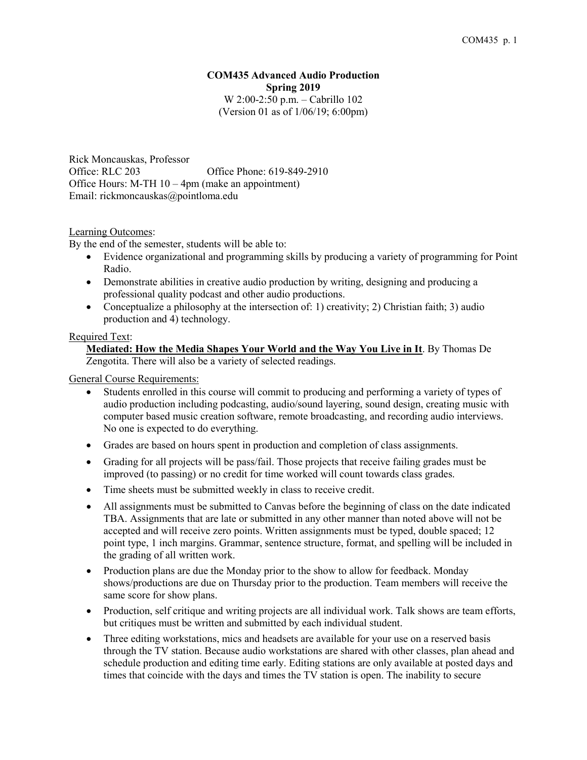## **COM435 Advanced Audio Production Spring 2019** W 2:00-2:50 p.m. – Cabrillo 102 (Version 01 as of 1/06/19; 6:00pm)

Rick Moncauskas, Professor Office: RLC 203 Office Phone: 619-849-2910 Office Hours: M-TH 10 – 4pm (make an appointment) Email: rickmoncauskas@pointloma.edu

## Learning Outcomes:

By the end of the semester, students will be able to:

- Evidence organizational and programming skills by producing a variety of programming for Point Radio.
- Demonstrate abilities in creative audio production by writing, designing and producing a professional quality podcast and other audio productions.
- Conceptualize a philosophy at the intersection of: 1) creativity; 2) Christian faith; 3) audio production and 4) technology.

### Required Text:

## **Mediated: How the Media Shapes Your World and the Way You Live in It**. By Thomas De Zengotita. There will also be a variety of selected readings.

General Course Requirements:

- Students enrolled in this course will commit to producing and performing a variety of types of audio production including podcasting, audio/sound layering, sound design, creating music with computer based music creation software, remote broadcasting, and recording audio interviews. No one is expected to do everything.
- Grades are based on hours spent in production and completion of class assignments.
- Grading for all projects will be pass/fail. Those projects that receive failing grades must be improved (to passing) or no credit for time worked will count towards class grades.
- Time sheets must be submitted weekly in class to receive credit.
- All assignments must be submitted to Canvas before the beginning of class on the date indicated TBA. Assignments that are late or submitted in any other manner than noted above will not be accepted and will receive zero points. Written assignments must be typed, double spaced; 12 point type, 1 inch margins. Grammar, sentence structure, format, and spelling will be included in the grading of all written work.
- Production plans are due the Monday prior to the show to allow for feedback. Monday shows/productions are due on Thursday prior to the production. Team members will receive the same score for show plans.
- Production, self critique and writing projects are all individual work. Talk shows are team efforts, but critiques must be written and submitted by each individual student.
- Three editing workstations, mics and headsets are available for your use on a reserved basis through the TV station. Because audio workstations are shared with other classes, plan ahead and schedule production and editing time early. Editing stations are only available at posted days and times that coincide with the days and times the TV station is open. The inability to secure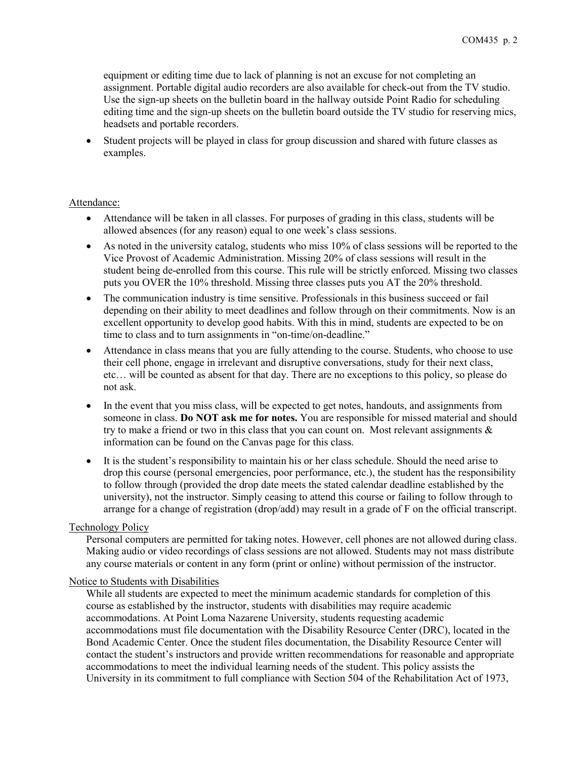equipment or editing time due to lack of planning is not an excuse for not completing an assignment. Portable digital audio recorders are also available for check-out from the TV studio. Use the sign-up sheets on the bulletin board in the hallway outside Point Radio for scheduling editing time and the sign-up sheets on the bulletin board outside the TV studio for reserving mics, headsets and portable recorders.

• Student projects will be played in class for group discussion and shared with future classes as examples.

## Attendance:

- Attendance will be taken in all classes. For purposes of grading in this class, students will be allowed absences (for any reason) equal to one week's class sessions.
- As noted in the university catalog, students who miss 10% of class sessions will be reported to the Vice Provost of Academic Administration. Missing 20% of class sessions will result in the student being de-enrolled from this course. This rule will be strictly enforced. Missing two classes puts you OVER the 10% threshold. Missing three classes puts you AT the 20% threshold.
- The communication industry is time sensitive. Professionals in this business succeed or fail depending on their ability to meet deadlines and follow through on their commitments. Now is an excellent opportunity to develop good habits. With this in mind, students are expected to be on time to class and to turn assignments in "on-time/on-deadline."
- Attendance in class means that you are fully attending to the course. Students, who choose to use their cell phone, engage in irrelevant and disruptive conversations, study for their next class, etc… will be counted as absent for that day. There are no exceptions to this policy, so please do not ask.
- In the event that you miss class, will be expected to get notes, handouts, and assignments from someone in class. **Do NOT ask me for notes.** You are responsible for missed material and should try to make a friend or two in this class that you can count on. Most relevant assignments  $\&$ information can be found on the Canvas page for this class.
- It is the student's responsibility to maintain his or her class schedule. Should the need arise to drop this course (personal emergencies, poor performance, etc.), the student has the responsibility to follow through (provided the drop date meets the stated calendar deadline established by the university), not the instructor. Simply ceasing to attend this course or failing to follow through to arrange for a change of registration (drop/add) may result in a grade of F on the official transcript.

## Technology Policy

Personal computers are permitted for taking notes. However, cell phones are not allowed during class. Making audio or video recordings of class sessions are not allowed. Students may not mass distribute any course materials or content in any form (print or online) without permission of the instructor.

### Notice to Students with Disabilities

While all students are expected to meet the minimum academic standards for completion of this course as established by the instructor, students with disabilities may require academic accommodations. At Point Loma Nazarene University, students requesting academic accommodations must file documentation with the Disability Resource Center (DRC), located in the Bond Academic Center. Once the student files documentation, the Disability Resource Center will contact the student's instructors and provide written recommendations for reasonable and appropriate accommodations to meet the individual learning needs of the student. This policy assists the University in its commitment to full compliance with Section 504 of the Rehabilitation Act of 1973,